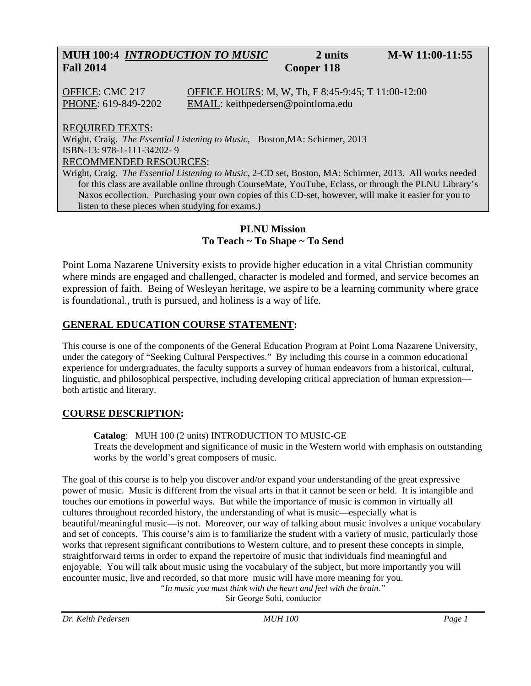## **MUH 100:4** *INTRODUCTION TO MUSIC* **2 units M-W 11:00-11:55 Fall 2014 Cooper 118**

OFFICE: CMC 217 OFFICE HOURS: M, W, Th, F 8:45-9:45; T 11:00-12:00 PHONE: 619-849-2202 EMAIL: keithpedersen@pointloma.edu

REQUIRED TEXTS:

Wright, Craig. *The Essential Listening to Music,* Boston,MA: Schirmer, 2013 ISBN-13: 978-1-111-34202- 9 RECOMMENDED RESOURCES:

Wright, Craig. *The Essential Listening to Music,* 2-CD set, Boston, MA: Schirmer, 2013. All works needed for this class are available online through CourseMate, YouTube, Eclass, or through the PLNU Library's Naxos ecollection. Purchasing your own copies of this CD-set, however, will make it easier for you to listen to these pieces when studying for exams.)

#### **PLNU Mission To Teach ~ To Shape ~ To Send**

Point Loma Nazarene University exists to provide higher education in a vital Christian community where minds are engaged and challenged, character is modeled and formed, and service becomes an expression of faith. Being of Wesleyan heritage, we aspire to be a learning community where grace is foundational., truth is pursued, and holiness is a way of life.

### **GENERAL EDUCATION COURSE STATEMENT:**

This course is one of the components of the General Education Program at Point Loma Nazarene University, under the category of "Seeking Cultural Perspectives." By including this course in a common educational experience for undergraduates, the faculty supports a survey of human endeavors from a historical, cultural, linguistic, and philosophical perspective, including developing critical appreciation of human expression both artistic and literary.

### **COURSE DESCRIPTION:**

**Catalog**: MUH 100 (2 units) INTRODUCTION TO MUSIC-GE Treats the development and significance of music in the Western world with emphasis on outstanding works by the world's great composers of music.

The goal of this course is to help you discover and/or expand your understanding of the great expressive power of music. Music is different from the visual arts in that it cannot be seen or held. It is intangible and touches our emotions in powerful ways. But while the importance of music is common in virtually all cultures throughout recorded history, the understanding of what is music—especially what is beautiful/meaningful music—is not. Moreover, our way of talking about music involves a unique vocabulary and set of concepts. This course's aim is to familiarize the student with a variety of music, particularly those works that represent significant contributions to Western culture, and to present these concepts in simple, straightforward terms in order to expand the repertoire of music that individuals find meaningful and enjoyable. You will talk about music using the vocabulary of the subject, but more importantly you will encounter music, live and recorded, so that more music will have more meaning for you.

*"In music you must think with the heart and feel with the brain."*  Sir George Solti, conductor

*Dr. Keith Pedersen MUH 100 Page 1*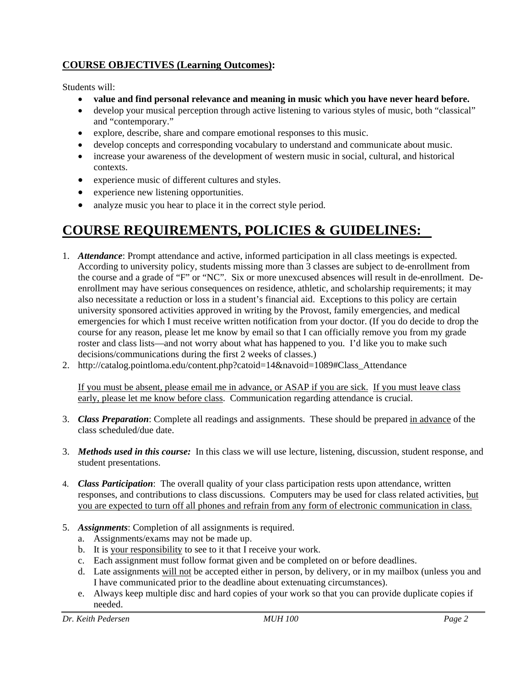### **COURSE OBJECTIVES (Learning Outcomes):**

Students will:

- **value and find personal relevance and meaning in music which you have never heard before.**
- develop your musical perception through active listening to various styles of music, both "classical" and "contemporary."
- explore, describe, share and compare emotional responses to this music.
- develop concepts and corresponding vocabulary to understand and communicate about music.
- increase your awareness of the development of western music in social, cultural, and historical contexts.
- experience music of different cultures and styles.
- experience new listening opportunities.
- analyze music you hear to place it in the correct style period.

# **COURSE REQUIREMENTS, POLICIES & GUIDELINES:**

- 1. *Attendance*: Prompt attendance and active, informed participation in all class meetings is expected. According to university policy, students missing more than 3 classes are subject to de-enrollment from the course and a grade of "F" or "NC". Six or more unexcused absences will result in de-enrollment. Deenrollment may have serious consequences on residence, athletic, and scholarship requirements; it may also necessitate a reduction or loss in a student's financial aid. Exceptions to this policy are certain university sponsored activities approved in writing by the Provost, family emergencies, and medical emergencies for which I must receive written notification from your doctor. (If you do decide to drop the course for any reason, please let me know by email so that I can officially remove you from my grade roster and class lists—and not worry about what has happened to you. I'd like you to make such decisions/communications during the first 2 weeks of classes.)
- 2. http://catalog.pointloma.edu/content.php?catoid=14&navoid=1089#Class\_Attendance

If you must be absent, please email me in advance, or ASAP if you are sick. If you must leave class early, please let me know before class. Communication regarding attendance is crucial.

- 3. *Class Preparation*: Complete all readings and assignments. These should be prepared in advance of the class scheduled/due date.
- 3. *Methods used in this course:* In this class we will use lecture, listening, discussion, student response, and student presentations.
- 4. *Class Participation*: The overall quality of your class participation rests upon attendance, written responses, and contributions to class discussions. Computers may be used for class related activities, but you are expected to turn off all phones and refrain from any form of electronic communication in class.
- 5. *Assignments*: Completion of all assignments is required.
	- a. Assignments/exams may not be made up.
	- b. It is your responsibility to see to it that I receive your work.
	- c. Each assignment must follow format given and be completed on or before deadlines.
	- d. Late assignments will not be accepted either in person, by delivery, or in my mailbox (unless you and I have communicated prior to the deadline about extenuating circumstances).
	- e. Always keep multiple disc and hard copies of your work so that you can provide duplicate copies if needed.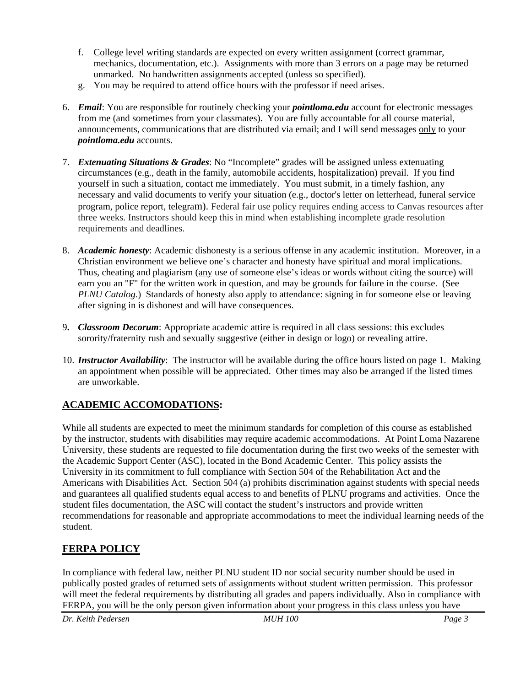- f. College level writing standards are expected on every written assignment (correct grammar, mechanics, documentation, etc.). Assignments with more than 3 errors on a page may be returned unmarked. No handwritten assignments accepted (unless so specified).
- g. You may be required to attend office hours with the professor if need arises.
- 6. *Email*: You are responsible for routinely checking your *pointloma.edu* account for electronic messages from me (and sometimes from your classmates). You are fully accountable for all course material, announcements, communications that are distributed via email; and I will send messages only to your *pointloma.edu* accounts.
- 7. *Extenuating Situations & Grades*: No "Incomplete" grades will be assigned unless extenuating circumstances (e.g., death in the family, automobile accidents, hospitalization) prevail. If you find yourself in such a situation, contact me immediately. You must submit, in a timely fashion, any necessary and valid documents to verify your situation (e.g., doctor's letter on letterhead, funeral service program, police report, telegram). Federal fair use policy requires ending access to Canvas resources after three weeks. Instructors should keep this in mind when establishing incomplete grade resolution requirements and deadlines.
- 8. *Academic honesty*: Academic dishonesty is a serious offense in any academic institution. Moreover, in a Christian environment we believe one's character and honesty have spiritual and moral implications. Thus, cheating and plagiarism (any use of someone else's ideas or words without citing the source) will earn you an "F" for the written work in question, and may be grounds for failure in the course. (See *PLNU Catalog*.) Standards of honesty also apply to attendance: signing in for someone else or leaving after signing in is dishonest and will have consequences.
- 9**.** *Classroom Decorum*: Appropriate academic attire is required in all class sessions: this excludes sorority/fraternity rush and sexually suggestive (either in design or logo) or revealing attire.
- 10. *Instructor Availability*: The instructor will be available during the office hours listed on page 1. Making an appointment when possible will be appreciated. Other times may also be arranged if the listed times are unworkable.

### **ACADEMIC ACCOMODATIONS:**

While all students are expected to meet the minimum standards for completion of this course as established by the instructor, students with disabilities may require academic accommodations. At Point Loma Nazarene University, these students are requested to file documentation during the first two weeks of the semester with the Academic Support Center (ASC), located in the Bond Academic Center. This policy assists the University in its commitment to full compliance with Section 504 of the Rehabilitation Act and the Americans with Disabilities Act. Section 504 (a) prohibits discrimination against students with special needs and guarantees all qualified students equal access to and benefits of PLNU programs and activities. Once the student files documentation, the ASC will contact the student's instructors and provide written recommendations for reasonable and appropriate accommodations to meet the individual learning needs of the student.

### **FERPA POLICY**

In compliance with federal law, neither PLNU student ID nor social security number should be used in publically posted grades of returned sets of assignments without student written permission. This professor will meet the federal requirements by distributing all grades and papers individually. Also in compliance with FERPA, you will be the only person given information about your progress in this class unless you have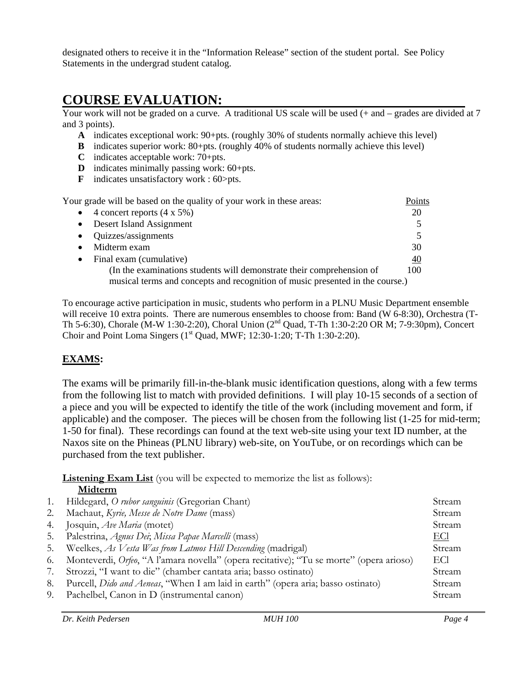designated others to receive it in the "Information Release" section of the student portal. See Policy Statements in the undergrad student catalog.

# **COURSE EVALUATION:**

Your work will not be graded on a curve. A traditional US scale will be used  $(+)$  and  $-$  grades are divided at 7 and 3 points).

- **A** indicates exceptional work: 90+pts. (roughly 30% of students normally achieve this level)
- **B** indicates superior work: 80+pts. (roughly 40% of students normally achieve this level)
- **C** indicates acceptable work: 70+pts.
- **D** indicates minimally passing work: 60+pts.
- **F** indicates unsatisfactory work : 60>pts.

Your grade will be based on the quality of your work in these areas: Points  $\bullet$  4 concert reports  $(4 \times 5\%)$  20 • Desert Island Assignment 5 • Quizzes/assignments 5 • Midterm exam 30 • Final exam (cumulative)  $40$ (In the examinations students will demonstrate their comprehension of 100 musical terms and concepts and recognition of music presented in the course.)

To encourage active participation in music, students who perform in a PLNU Music Department ensemble will receive 10 extra points. There are numerous ensembles to choose from: Band (W 6-8:30), Orchestra (T-Th 5-6:30), Chorale (M-W 1:30-2:20), Choral Union (2nd Quad, T-Th 1:30-2:20 OR M; 7-9:30pm), Concert Choir and Point Loma Singers  $(1<sup>st</sup> Quad, MWF; 12:30-1:20; T-Th 1:30-2:20)$ .

### **EXAMS:**

The exams will be primarily fill-in-the-blank music identification questions, along with a few terms from the following list to match with provided definitions. I will play 10-15 seconds of a section of a piece and you will be expected to identify the title of the work (including movement and form, if applicable) and the composer. The pieces will be chosen from the following list (1-25 for mid-term; 1-50 for final). These recordings can found at the text web-site using your text ID number, at the Naxos site on the Phineas (PLNU library) web-site, on YouTube, or on recordings which can be purchased from the text publisher.

**Listening Exam List** (you will be expected to memorize the list as follows):  **Midterm** 

| 1. | Hildegard, O rubor sanguinis (Gregorian Chant)                                                  | Stream |
|----|-------------------------------------------------------------------------------------------------|--------|
| 2. | Machaut, Kyrie, Messe de Notre Dame (mass)                                                      | Stream |
| 4. | Josquin, Ave Maria (motet)                                                                      | Stream |
| 5. | Palestrina, Agnus Dei; Missa Papae Marcelli (mass)                                              | ECI    |
| 5. | Weelkes, As Vesta Was from Latmos Hill Descending (madrigal)                                    | Stream |
| 6. | Monteverdi, <i>Orfeo</i> , "A l'amara novella" (opera recitative); "Tu se morte" (opera arioso) | ECI    |
| 7. | Strozzi, "I want to die" (chamber cantata aria; basso ostinato)                                 | Stream |
| 8. | Purcell, <i>Dido and Aeneas</i> , "When I am laid in earth" (opera aria; basso ostinato)        | Stream |
| 9. | Pachelbel, Canon in D (instrumental canon)                                                      | Stream |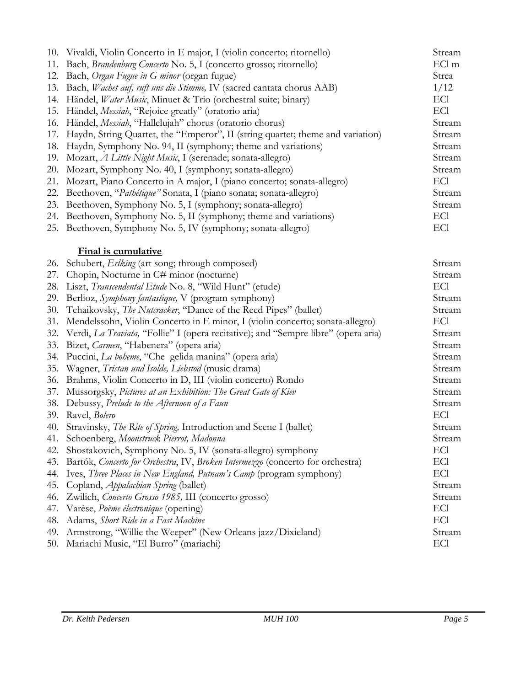|     | 10. Vivaldi, Violin Concerto in E major, I (violin concerto; ritornello)           | Stream     |
|-----|------------------------------------------------------------------------------------|------------|
|     | 11. Bach, Brandenburg Concerto No. 5, I (concerto grosso; ritornello)              | ECl m      |
|     | 12. Bach, Organ Fugue in G minor (organ fugue)                                     | Strea      |
|     | 13. Bach, Wachet auf, ruft uns die Stimme, IV (sacred cantata chorus AAB)          | 1/12       |
|     | 14. Händel, Water Music, Minuet & Trio (orchestral suite; binary)                  | ECI        |
| 15. | Händel, <i>Messiah</i> , "Rejoice greatly" (oratorio aria)                         | <u>ECl</u> |
|     | 16. Händel, Messiah, "Hallelujah" chorus (oratorio chorus)                         | Stream     |
| 17. | Haydn, String Quartet, the "Emperor", II (string quartet; theme and variation)     | Stream     |
| 18. | Haydn, Symphony No. 94, II (symphony; theme and variations)                        | Stream     |
| 19. | Mozart, A Little Night Music, I (serenade; sonata-allegro)                         | Stream     |
|     | 20. Mozart, Symphony No. 40, I (symphony; sonata-allegro)                          | Stream     |
| 21. | Mozart, Piano Concerto in A major, I (piano concerto; sonata-allegro)              | ECI        |
| 22. | Beethoven, "Pathétique" Sonata, I (piano sonata; sonata-allegro)                   | Stream     |
|     | 23. Beethoven, Symphony No. 5, I (symphony; sonata-allegro)                        | Stream     |
|     | 24. Beethoven, Symphony No. 5, II (symphony; theme and variations)                 | ECI        |
|     | 25. Beethoven, Symphony No. 5, IV (symphony; sonata-allegro)                       | ECI        |
|     |                                                                                    |            |
|     | Final is cumulative                                                                |            |
| 26. | Schubert, <i>Erlking</i> (art song; through composed)                              | Stream     |
| 27. | Chopin, Nocturne in C# minor (nocturne)                                            | Stream     |
| 28. | Liszt, Transcendental Etude No. 8, "Wild Hunt" (etude)                             | ECI        |
| 29. | Berlioz, Symphony fantastique, V (program symphony)                                | Stream     |
| 30. | Tchaikovsky, The Nutcracker, "Dance of the Reed Pipes" (ballet)                    | Stream     |
| 31. | Mendelssohn, Violin Concerto in E minor, I (violin concerto; sonata-allegro)       | ECI        |
| 32. | Verdi, La Traviata, "Follie" I (opera recitative); and "Sempre libre" (opera aria) | Stream     |
| 33. | Bizet, Carmen, "Habenera" (opera aria)                                             | Stream     |
|     | 34. Puccini, La boheme, "Che gelida manina" (opera aria)                           | Stream     |
| 35. | Wagner, Tristan und Isolde, Liebstod (music drama)                                 | Stream     |
| 36. | Brahms, Violin Concerto in D, III (violin concerto) Rondo                          | Stream     |
| 37. | Mussorgsky, Pictures at an Exhibition: The Great Gate of Kiev                      | Stream     |
|     | 38. Debussy, Prelude to the Afternoon of a Faun                                    | Stream     |
| 39. | Ravel, Bolero                                                                      | ECI        |
|     | 40. Stravinsky, The Rite of Spring, Introduction and Scene I (ballet)              | Stream     |
| 41. | Schoenberg, Moonstruck Pierrot, Madonna                                            | Stream     |
| 42. | Shostakovich, Symphony No. 5, IV (sonata-allegro) symphony                         | ECI        |
| 43. | Bartók, Concerto for Orchestra, IV, Broken Intermezzo (concerto for orchestra)     | ECI        |
| 44. | Ives, Three Places in New England, Putnam's Camp (program symphony)                | <b>EC1</b> |
| 45. | Copland, <i>Appalachian Spring</i> (ballet)                                        | Stream     |
| 46. | Zwilich, Concerto Grosso 1985, III (concerto grosso)                               | Stream     |
| 47. | Varèse, Poème électronique (opening)                                               | ECI        |
| 48. | Adams, Short Ride in a Fast Machine                                                | ECI        |
| 49. | Armstrong, "Willie the Weeper" (New Orleans jazz/Dixieland)                        | Stream     |
|     | 50. Mariachi Music, "El Burro" (mariachi)                                          | ECI        |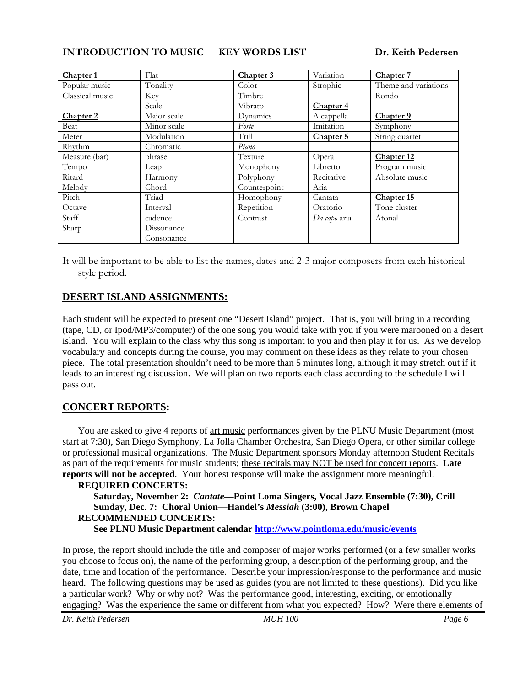**INTRODUCTION TO MUSIC KEY WORDS LIST Dr. Keith Pedersen** 

| Chapter 1            | Flat        | Chapter 3    | Variation            | Chapter 7            |
|----------------------|-------------|--------------|----------------------|----------------------|
| Popular music        | Tonality    | Color        | Strophic             | Theme and variations |
| Classical music      | Key         | Timbre       |                      | Rondo                |
|                      | Scale       | Vibrato      | Chapter <sub>4</sub> |                      |
| Chapter <sub>2</sub> | Major scale | Dynamics     | A cappella           | Chapter 9            |
| Beat                 | Minor scale | Forte        | Imitation            | Symphony             |
| Meter                | Modulation  | Trill        | Chapter 5            | String quartet       |
| Rhythm               | Chromatic   | Piano        |                      |                      |
| Measure (bar)        | phrase      | Texture      | Opera                | Chapter 12           |
| Tempo                | Leap        | Monophony    | Libretto             | Program music        |
| Ritard               | Harmony     | Polyphony    | Recitative           | Absolute music       |
| Melody               | Chord       | Counterpoint | Aria                 |                      |
| Pitch                | Triad       | Homophony    | Cantata              | Chapter 15           |
| Octave               | Interval    | Repetition   | Oratorio             | Tone cluster         |
| Staff                | cadence     | Contrast     | Da capo aria         | Atonal               |
| Sharp                | Dissonance  |              |                      |                      |
|                      | Consonance  |              |                      |                      |

It will be important to be able to list the names, dates and 2-3 major composers from each historical style period.

### **DESERT ISLAND ASSIGNMENTS:**

Each student will be expected to present one "Desert Island" project. That is, you will bring in a recording (tape, CD, or Ipod/MP3/computer) of the one song you would take with you if you were marooned on a desert island. You will explain to the class why this song is important to you and then play it for us. As we develop vocabulary and concepts during the course, you may comment on these ideas as they relate to your chosen piece. The total presentation shouldn't need to be more than 5 minutes long, although it may stretch out if it leads to an interesting discussion. We will plan on two reports each class according to the schedule I will pass out.

### **CONCERT REPORTS:**

You are asked to give 4 reports of art music performances given by the PLNU Music Department (most start at 7:30), San Diego Symphony, La Jolla Chamber Orchestra, San Diego Opera, or other similar college or professional musical organizations. The Music Department sponsors Monday afternoon Student Recitals as part of the requirements for music students; these recitals may NOT be used for concert reports. **Late reports will not be accepted**. Your honest response will make the assignment more meaningful.

#### **REQUIRED CONCERTS: Saturday, November 2:** *Cantate***—Point Loma Singers, Vocal Jazz Ensemble (7:30), Crill Sunday, Dec. 7: Choral Union—Handel's** *Messiah* **(3:00), Brown Chapel RECOMMENDED CONCERTS: See PLNU Music Department calendar http://www.pointloma.edu/music/events**

In prose, the report should include the title and composer of major works performed (or a few smaller works you choose to focus on), the name of the performing group, a description of the performing group, and the date, time and location of the performance. Describe your impression/response to the performance and music heard. The following questions may be used as guides (you are not limited to these questions). Did you like a particular work? Why or why not? Was the performance good, interesting, exciting, or emotionally engaging? Was the experience the same or different from what you expected? How? Were there elements of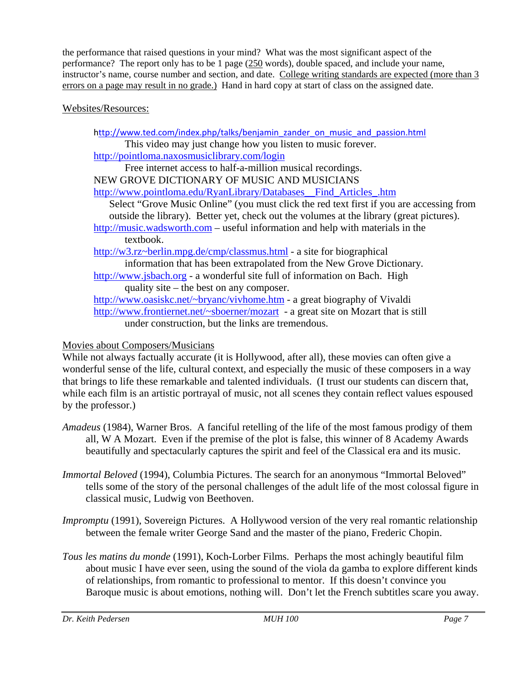the performance that raised questions in your mind? What was the most significant aspect of the performance? The report only has to be 1 page (250 words), double spaced, and include your name, instructor's name, course number and section, and date. College writing standards are expected (more than 3 errors on a page may result in no grade.) Hand in hard copy at start of class on the assigned date.

### Websites/Resources:

http://www.ted.com/index.php/talks/benjamin\_zander\_on\_music\_and\_passion.html This video may just change how you listen to music forever. http://pointloma.naxosmusiclibrary.com/login Free internet access to half-a-million musical recordings. NEW GROVE DICTIONARY OF MUSIC AND MUSICIANS http://www.pointloma.edu/RyanLibrary/Databases\_\_Find\_Articles\_.htm Select "Grove Music Online" (you must click the red text first if you are accessing from outside the library). Better yet, check out the volumes at the library (great pictures). http://music.wadsworth.com – useful information and help with materials in the textbook. http://w3.rz~berlin.mpg.de/cmp/classmus.html - a site for biographical information that has been extrapolated from the New Grove Dictionary*.* http://www.jsbach.org - a wonderful site full of information on Bach. High quality site – the best on any composer. http://www.oasiskc.net/~bryanc/vivhome.htm - a great biography of Vivaldi http://www.frontiernet.net/~sboerner/mozart - a great site on Mozart that is still under construction, but the links are tremendous.

### Movies about Composers/Musicians

While not always factually accurate (it is Hollywood, after all), these movies can often give a wonderful sense of the life, cultural context, and especially the music of these composers in a way that brings to life these remarkable and talented individuals. (I trust our students can discern that, while each film is an artistic portrayal of music, not all scenes they contain reflect values espoused by the professor.)

- *Amadeus* (1984), Warner Bros. A fanciful retelling of the life of the most famous prodigy of them all, W A Mozart. Even if the premise of the plot is false, this winner of 8 Academy Awards beautifully and spectacularly captures the spirit and feel of the Classical era and its music.
- *Immortal Beloved* (1994), Columbia Pictures. The search for an anonymous "Immortal Beloved" tells some of the story of the personal challenges of the adult life of the most colossal figure in classical music, Ludwig von Beethoven.
- *Impromptu* (1991), Sovereign Pictures. A Hollywood version of the very real romantic relationship between the female writer George Sand and the master of the piano, Frederic Chopin.
- *Tous les matins du monde* (1991), Koch-Lorber Films. Perhaps the most achingly beautiful film about music I have ever seen, using the sound of the viola da gamba to explore different kinds of relationships, from romantic to professional to mentor. If this doesn't convince you Baroque music is about emotions, nothing will. Don't let the French subtitles scare you away.